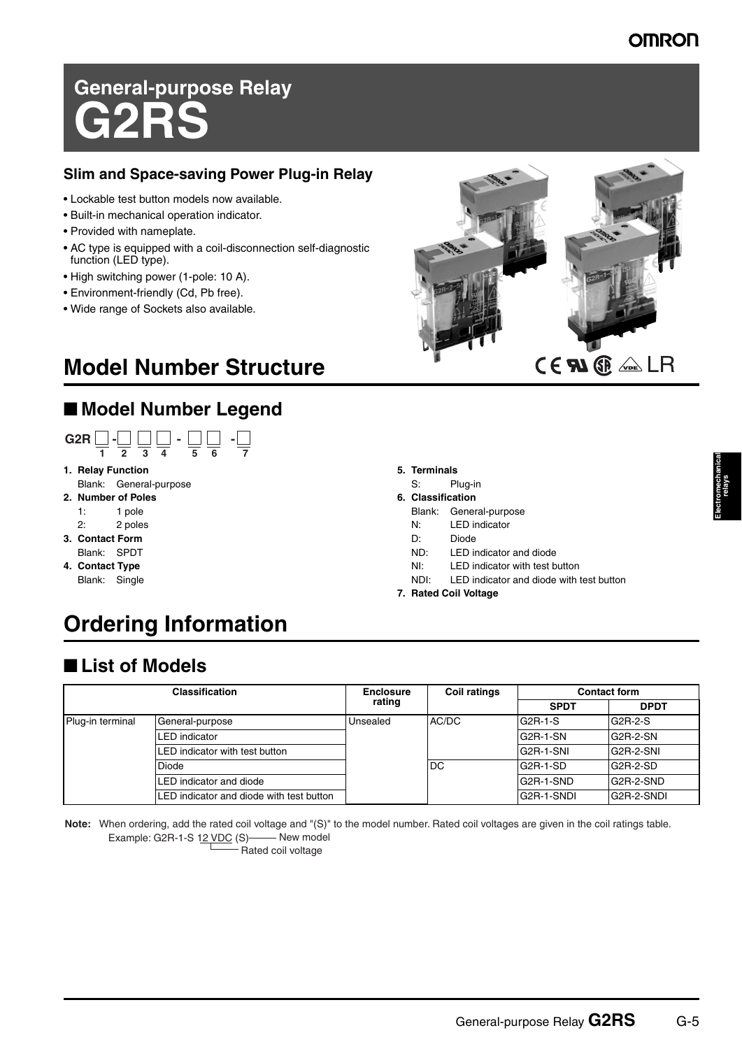# **General-purpose Relay G2RS**

### **Slim and Space-saving Power Plug-in Relay**

- Lockable test button models now available.
- Built-in mechanical operation indicator.
- Provided with nameplate.
- AC type is equipped with a coil-disconnection self-diagnostic function (LED type).
- High switching power (1-pole: 10 A).
- Environment-friendly (Cd, Pb free).
- Wide range of Sockets also available.

# ■ **Model Number Legend**



- **1. Relay Function**
- Blank: General-purpose **2. Number of Poles**
	-
	- 1: 1 pole
- 2: 2 poles
- **3. Contact Form**
- Blank: SPDT **4. Contact Type**
- Blank: Single



- **5. Terminals**
- S: Plug-in
- **6. Classification**
- Blank: General-purpose
- N: LED indicator
- D: Diode
- ND: LED indicator and diode
- NI: LED indicator with test button
- NDI: LED indicator and diode with test button
- **7. Rated Coil Voltage**

# **Ordering Information**

# ■ **List of Models**

| <b>Classification</b> |                                          | <b>Enclosure</b><br>rating | <b>Coil ratings</b> | <b>Contact form</b> |                        |
|-----------------------|------------------------------------------|----------------------------|---------------------|---------------------|------------------------|
|                       |                                          |                            |                     | <b>SPDT</b>         | <b>DPDT</b>            |
| Plug-in terminal      | General-purpose                          | Unsealed                   | AC/DC               | G2R-1-S             | G2R-2-S                |
|                       | LED indicator                            |                            | DC                  | G2R-1-SN            | G2R-2-SN               |
|                       | LED indicator with test button           |                            |                     | G2R-1-SNI           | G <sub>2</sub> R-2-SNI |
|                       | Diode                                    |                            |                     | G2R-1-SD            | G <sub>2</sub> R-2-SD  |
|                       | LED indicator and diode                  |                            |                     | G2R-1-SND           | G <sub>2</sub> R-2-SND |
|                       | LED indicator and diode with test button |                            |                     | G2R-1-SNDI          | G2R-2-SNDI             |

**Note:** When ordering, add the rated coil voltage and "(S)" to the model number. Rated coil voltages are given in the coil ratings table. Example: G2R-1-S 12 VDC (S) New model

Rated coil voltage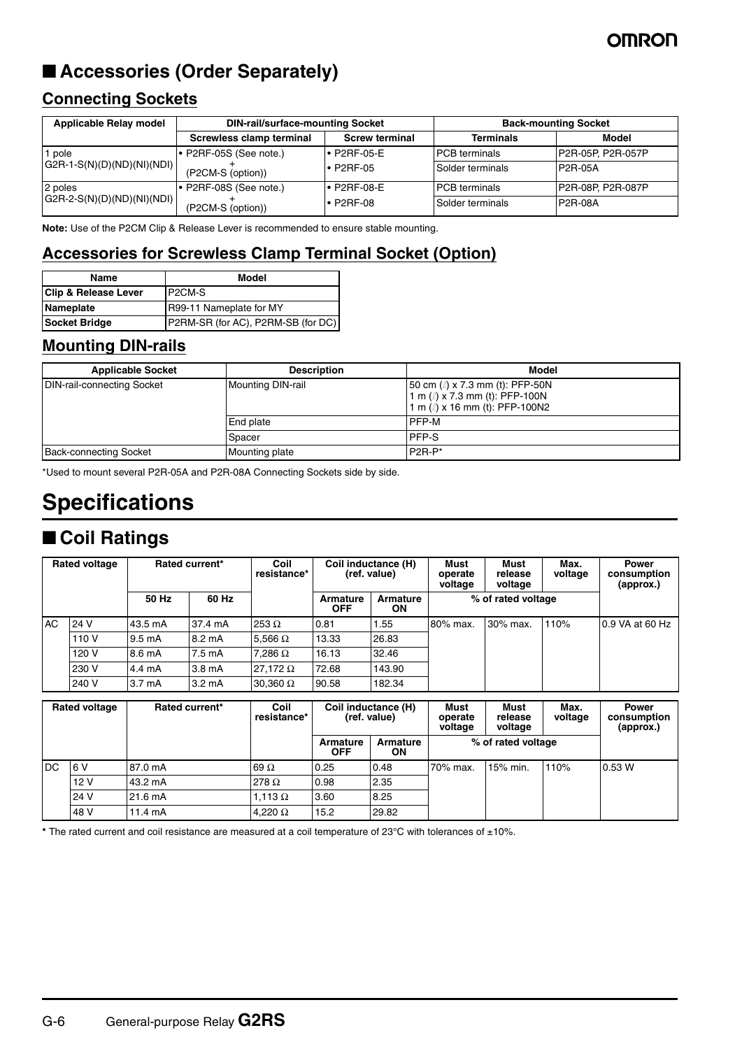## **OMROI**

# ■ **Accessories (Order Separately)**

### **Connecting Sockets**

| <b>Applicable Relay model</b> | <b>DIN-rail/surface-mounting Socket</b> |                       | <b>Back-mounting Socket</b> |                    |  |
|-------------------------------|-----------------------------------------|-----------------------|-----------------------------|--------------------|--|
|                               | Screwless clamp terminal                | <b>Screw terminal</b> | <b>Terminals</b>            | Model              |  |
| pole                          | $\cdot$ P2RF-05S (See note.)            | $\bullet$ P2RF-05-E   | <b>PCB</b> terminals        | P2R-05P. P2R-057P  |  |
| $GGR-1-S(N)(D)(ND)(NI)(ND))$  | (P2CM-S (option))                       | $\cdot$ P2RF-05       | Solder terminals            | P2R-05A            |  |
| 2 poles                       | P2RF-08S (See note.)                    | $\bullet$ P2RF-08-E   | <b>PCB</b> terminals        | IP2R-08P. P2R-087P |  |
| $G2R-2-S(N)(D)(ND)(NI)(ND)$   | (P2CM-S (option))                       | $\cdot$ P2RF-08       | Solder terminals            | P2R-08A            |  |

**Note:** Use of the P2CM Clip & Release Lever is recommended to ensure stable mounting.

### **Accessories for Screwless Clamp Terminal Socket (Option)**

| Name                            | Model                              |  |
|---------------------------------|------------------------------------|--|
| <b>Clip &amp; Release Lever</b> | P <sub>2</sub> CM-S                |  |
| Nameplate                       | R99-11 Nameplate for MY            |  |
| Socket Bridge                   | P2RM-SR (for AC), P2RM-SB (for DC) |  |

### **Mounting DIN-rails**

| <b>Applicable Socket</b>      | <b>Description</b> | Model                                                                                                              |
|-------------------------------|--------------------|--------------------------------------------------------------------------------------------------------------------|
| DIN-rail-connecting Socket    | Mounting DIN-rail  | 50 cm $\ell$ ) x 7.3 mm (t): PFP-50N<br>1 m $\ell$ ) x 7.3 mm (t): PFP-100N<br>1 m $\ell$ ) x 16 mm (t): PFP-100N2 |
|                               | <b>End plate</b>   | PFP-M                                                                                                              |
|                               | Spacer             | PFP-S                                                                                                              |
| <b>Back-connecting Socket</b> | Mounting plate     | $P2R-P*$                                                                                                           |

\*Used to mount several P2R-05A and P2R-08A Connecting Sockets side by side.

# **Specifications**

# ■ **Coil Ratings**

|     | <b>Rated voltage</b> |                    | Rated current*     | Coil<br>resistance* |                               | Coil inductance (H)<br>(ref. value) | Must<br>Must<br>release<br>operate<br>voltage<br>voltage |                            | <b>Power</b><br>Max.<br>voltage |                                          | consumption<br>(approx.) |
|-----|----------------------|--------------------|--------------------|---------------------|-------------------------------|-------------------------------------|----------------------------------------------------------|----------------------------|---------------------------------|------------------------------------------|--------------------------|
|     |                      | 50 Hz              | 60 Hz              |                     | Armature<br><b>OFF</b>        | <b>Armature</b><br>ON               |                                                          | % of rated voltage         |                                 |                                          |                          |
| AC  | 24 V                 | 43.5 mA            | 37.4 mA            | $253 \Omega$        | 0.81                          | 1.55                                | 80% max.                                                 | 30% max.                   | 110%                            | 0.9 VA at 60 Hz                          |                          |
|     | 110 V                | $9.5 \text{ mA}$   | 8.2 mA             | 5,566 $\Omega$      | 13.33                         | 26.83                               |                                                          |                            |                                 |                                          |                          |
|     | 120 V                | 8.6 mA             | 7.5 mA             | 7.286 $\Omega$      | 16.13                         | 32.46                               |                                                          |                            |                                 |                                          |                          |
|     | 230 V                | 4.4 mA             | 3.8 <sub>m</sub> A | 27,172 $\Omega$     | 72.68                         | 143.90                              |                                                          |                            |                                 |                                          |                          |
|     | 240 V                | 3.7 <sub>m</sub> A | $3.2 \text{ mA}$   | 30,360 $\Omega$     | 90.58                         | 182.34                              |                                                          |                            |                                 |                                          |                          |
|     | <b>Rated voltage</b> |                    | Rated current*     | Coil<br>resistance* |                               | Coil inductance (H)<br>(ref. value) | Must<br>operate<br>voltage                               | Must<br>release<br>voltage | Max.<br>voltage                 | <b>Power</b><br>consumption<br>(approx.) |                          |
|     |                      |                    |                    |                     | <b>Armature</b><br><b>OFF</b> | Armature<br>ON                      |                                                          | % of rated voltage         |                                 |                                          |                          |
| DC. | 6 V                  | 87.0 mA            |                    | 69 $\Omega$         | 0.25                          | 0.48                                | 70% max.                                                 | 15% min.                   | 110%                            | 0.53W                                    |                          |
|     | 12 V                 | 43.2 mA            |                    | 278 $\Omega$        | 0.98                          | 2.35                                |                                                          |                            |                                 |                                          |                          |
|     | 24 V                 | 21.6 mA            |                    | 1,113 $\Omega$      | 3.60                          | 8.25                                |                                                          |                            |                                 |                                          |                          |

**\*** The rated current and coil resistance are measured at a coil temperature of 23°C with tolerances of ±10%.

48 V | 11.4 mA | 4,220 Ω | 15.2 | 29.82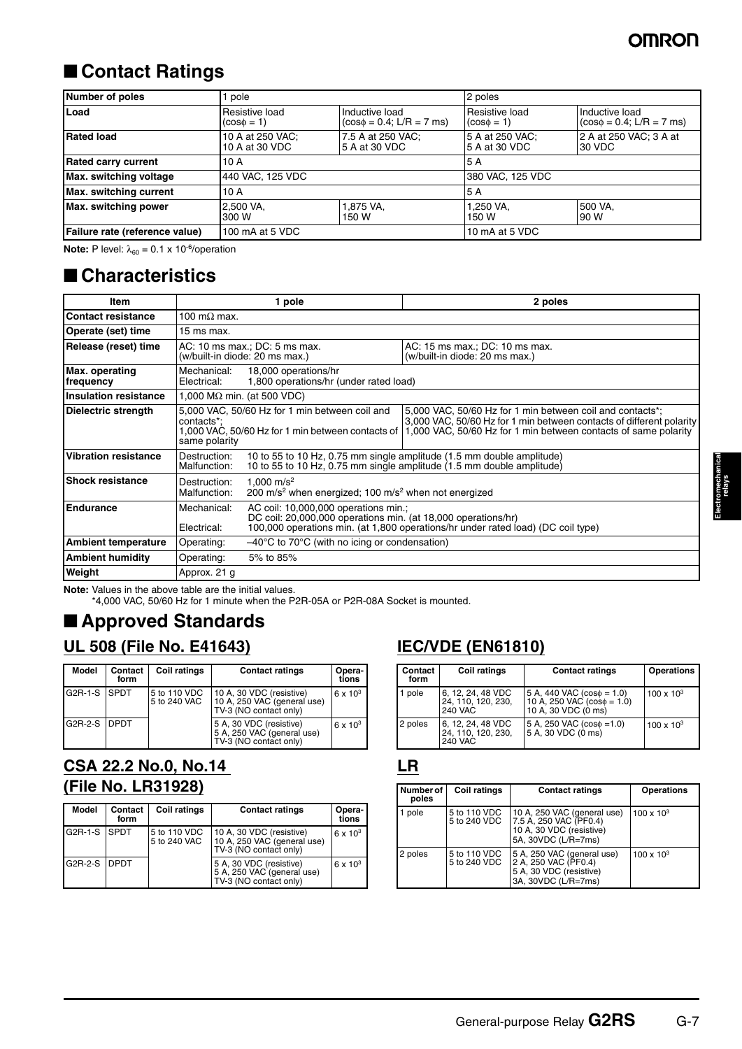# ■ **Contact Ratings**

| Number of poles                | pole                                     |                                                 | 2 poles                           |                                                 |
|--------------------------------|------------------------------------------|-------------------------------------------------|-----------------------------------|-------------------------------------------------|
| Load                           | Resistive load<br>$(cos\phi = 1)$        | Inductive load<br>$(cos\phi = 0.4; L/R = 7$ ms) | Resistive load<br>$\cos \phi = 1$ | Inductive load<br>$(cos\phi = 0.4; L/R = 7$ ms) |
| <b>Rated load</b>              | 10 A at 250 VAC;<br>10 A at 30 VDC       | 7.5 A at 250 VAC;<br>15 A at 30 VDC             | 15 A at 250 VAC:<br>5 A at 30 VDC | 2 A at 250 VAC; 3 A at<br>30 VDC                |
| <b>Rated carry current</b>     | 10 A                                     |                                                 | 5 A                               |                                                 |
| Max. switching voltage         | 440 VAC, 125 VDC                         |                                                 | 380 VAC, 125 VDC                  |                                                 |
| Max. switching current         | 10 A                                     |                                                 | 5 A                               |                                                 |
| Max. switching power           | 1,875 VA,<br>2.500 VA.<br>150 W<br>300 W |                                                 | 1.250 VA.<br>150 W                | 500 VA.<br>90 W                                 |
| Failure rate (reference value) | 100 mA at 5 VDC                          |                                                 | 10 mA at 5 VDC                    |                                                 |

**Note:** P level:  $\lambda_{60} = 0.1 \times 10^{-6}$ /operation

### ■ **Characteristics**

| Item                         |                                                                                                                                                                                                                                                                                                                                         | 1 pole                                                                                                                                                                                    | 2 poles                                                                                                                                        |  |
|------------------------------|-----------------------------------------------------------------------------------------------------------------------------------------------------------------------------------------------------------------------------------------------------------------------------------------------------------------------------------------|-------------------------------------------------------------------------------------------------------------------------------------------------------------------------------------------|------------------------------------------------------------------------------------------------------------------------------------------------|--|
| <b>Contact resistance</b>    | 100 m $\Omega$ max.                                                                                                                                                                                                                                                                                                                     |                                                                                                                                                                                           |                                                                                                                                                |  |
| Operate (set) time           | 15 ms max.                                                                                                                                                                                                                                                                                                                              |                                                                                                                                                                                           |                                                                                                                                                |  |
| Release (reset) time         |                                                                                                                                                                                                                                                                                                                                         | AC: 10 ms max.; DC: 5 ms max.<br>AC: 15 ms max.; DC: 10 ms max.<br>(w/built-in diode: 20 ms max.)<br>(w/built-in diode: 20 ms max.)                                                       |                                                                                                                                                |  |
| Max. operating<br>frequency  | Mechanical:<br>Electrical:                                                                                                                                                                                                                                                                                                              | 18,000 operations/hr<br>1,800 operations/hr (under rated load)                                                                                                                            |                                                                                                                                                |  |
| <b>Insulation resistance</b> | 1,000 M $\Omega$ min. (at 500 VDC)                                                                                                                                                                                                                                                                                                      |                                                                                                                                                                                           |                                                                                                                                                |  |
| Dielectric strength          | 5,000 VAC, 50/60 Hz for 1 min between coil and<br>5,000 VAC, 50/60 Hz for 1 min between coil and contacts*;<br>3,000 VAC, 50/60 Hz for 1 min between contacts of different polarity<br>contacts*;<br>1,000 VAC, 50/60 Hz for 1 min between contacts of 1,000 VAC, 50/60 Hz for 1 min between contacts of same polarity<br>same polarity |                                                                                                                                                                                           |                                                                                                                                                |  |
| <b>Vibration resistance</b>  | Destruction:<br>Malfunction:                                                                                                                                                                                                                                                                                                            |                                                                                                                                                                                           | 10 to 55 to 10 Hz, 0.75 mm single amplitude (1.5 mm double amplitude)<br>10 to 55 to 10 Hz, 0.75 mm single amplitude (1.5 mm double amplitude) |  |
| <b>Shock resistance</b>      | Destruction:<br>Malfunction:                                                                                                                                                                                                                                                                                                            | 1.000 m/s <sup>2</sup><br>200 m/s <sup>2</sup> when energized; 100 m/s <sup>2</sup> when not energized                                                                                    |                                                                                                                                                |  |
| <b>Endurance</b>             | Mechanical:<br>Electrical:                                                                                                                                                                                                                                                                                                              | AC coil: 10,000,000 operations min.;<br>DC coil: 20,000,000 operations min. (at 18,000 operations/hr)<br>100,000 operations min. (at 1,800 operations/hr under rated load) (DC coil type) |                                                                                                                                                |  |
| <b>Ambient temperature</b>   | Operating:                                                                                                                                                                                                                                                                                                                              | $-40^{\circ}$ C to 70 $^{\circ}$ C (with no icing or condensation)                                                                                                                        |                                                                                                                                                |  |
| <b>Ambient humidity</b>      | Operating:                                                                                                                                                                                                                                                                                                                              | 5% to 85%                                                                                                                                                                                 |                                                                                                                                                |  |
| Weight                       | Approx. 21 g                                                                                                                                                                                                                                                                                                                            |                                                                                                                                                                                           |                                                                                                                                                |  |

**Note:** Values in the above table are the initial values.

\*4,000 VAC, 50/60 Hz for 1 minute when the P2R-05A or P2R-08A Socket is mounted.

# ■ **Approved Standards**

### **UL 508 (File No. E41643)**

| Model         | Contact<br>form | <b>Coil ratings</b>          | <b>Contact ratings</b>                                                            | Opera-<br>tions |
|---------------|-----------------|------------------------------|-----------------------------------------------------------------------------------|-----------------|
| G2R-1-S SPDT  |                 | 5 to 110 VDC<br>5 to 240 VAC | 10 A, 30 VDC (resistive)<br>10 A, 250 VAC (general use)<br>TV-3 (NO contact only) | $6 \times 10^3$ |
| G2R-2-S IDPDT |                 |                              | 5 A, 30 VDC (resistive)<br>5 A, 250 VAC (general use)<br>TV-3 (NO contact only)   | $6 \times 10^3$ |

### **CSA 22.2 No.0, No.14 (File No. LR31928)**

| Model         | Contact<br>form | <b>Coil ratings</b>          | <b>Contact ratings</b>                                                            | Opera-<br>tions |
|---------------|-----------------|------------------------------|-----------------------------------------------------------------------------------|-----------------|
| G2R-1-S SPDT  |                 | 5 to 110 VDC<br>5 to 240 VAC | 10 A, 30 VDC (resistive)<br>10 A, 250 VAC (general use)<br>TV-3 (NO contact only) | $6 \times 10^3$ |
| G2R-2-S IDPDT |                 |                              | 5 A, 30 VDC (resistive)<br>5 A, 250 VAC (general use)<br>TV-3 (NO contact only)   | $6 \times 10^3$ |

### **IEC/VDE (EN61810)**

| Contact<br>form | <b>Coil ratings</b>                                       | <b>Contact ratings</b>                                                                    | <b>Operations</b>   |
|-----------------|-----------------------------------------------------------|-------------------------------------------------------------------------------------------|---------------------|
| 1 pole          | 6, 12, 24, 48 VDC<br>24, 110, 120, 230,<br><b>240 VAC</b> | 5 A, 440 VAC $(cos \phi = 1.0)$<br>10 A, 250 VAC $(cos\phi = 1.0)$<br>10 A, 30 VDC (0 ms) | $100 \times 10^{3}$ |
| 2 poles         | 6, 12, 24, 48 VDC<br>24, 110, 120, 230,<br><b>240 VAC</b> | 5 A, 250 VAC $(cos \phi = 1.0)$<br>5 A, 30 VDC (0 ms)                                     | $100 \times 10^{3}$ |

### **LR**

| Number of<br>poles | <b>Coil ratings</b>          | <b>Contact ratings</b>                                                                                   | <b>Operations</b>   |
|--------------------|------------------------------|----------------------------------------------------------------------------------------------------------|---------------------|
| 1 pole             | 5 to 110 VDC<br>5 to 240 VDC | 10 A, 250 VAC (general use)<br>7.5 A, 250 VAC (PF0.4)<br>10 A, 30 VDC (resistive)<br>5A, 30VDC (L/R=7ms) | $100 \times 10^{3}$ |
| 2 poles            | 5 to 110 VDC<br>5 to 240 VDC | 5 A, 250 VAC (general use)<br>2 A, 250 VAC (PF0.4)<br>5 A, 30 VDC (resistive)<br>3A, 30VDC (L/R=7ms)     | $100 \times 10^{3}$ |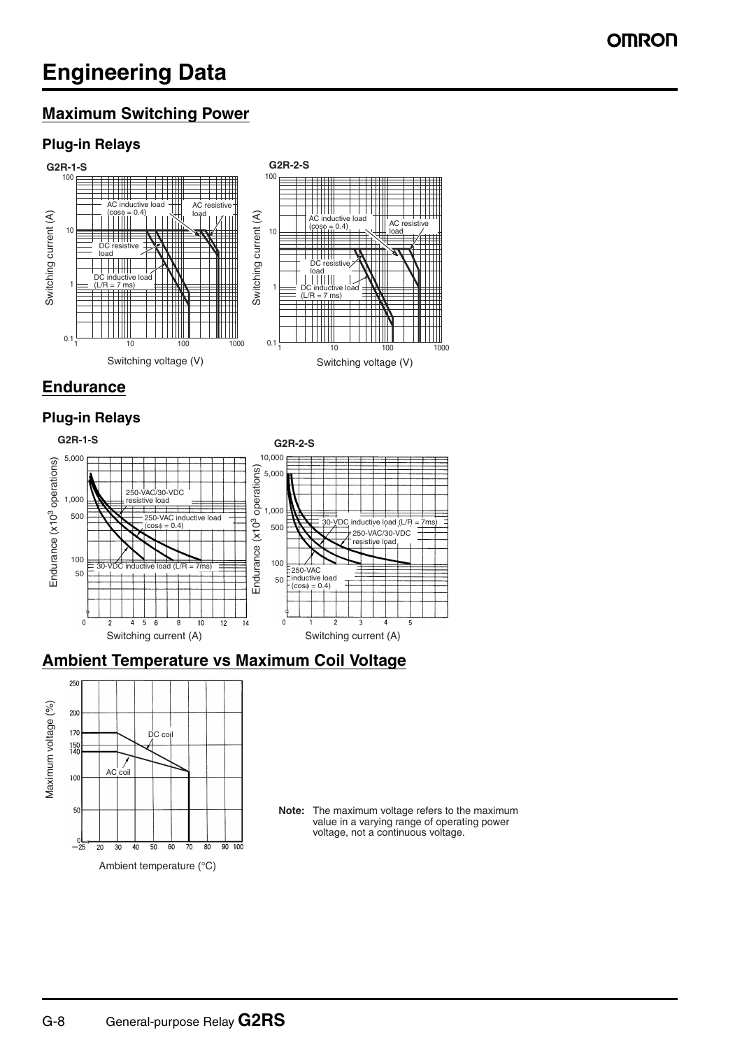# **Engineering Data**

### **Maximum Switching Power**

### **Plug-in Relays**



### **Endurance**

### **Plug-in Relays**



### **Ambient Temperature vs Maximum Coil Voltage**



**Note:** The maximum voltage refers to the maximum value in a varying range of operating power voltage, not a continuous voltage.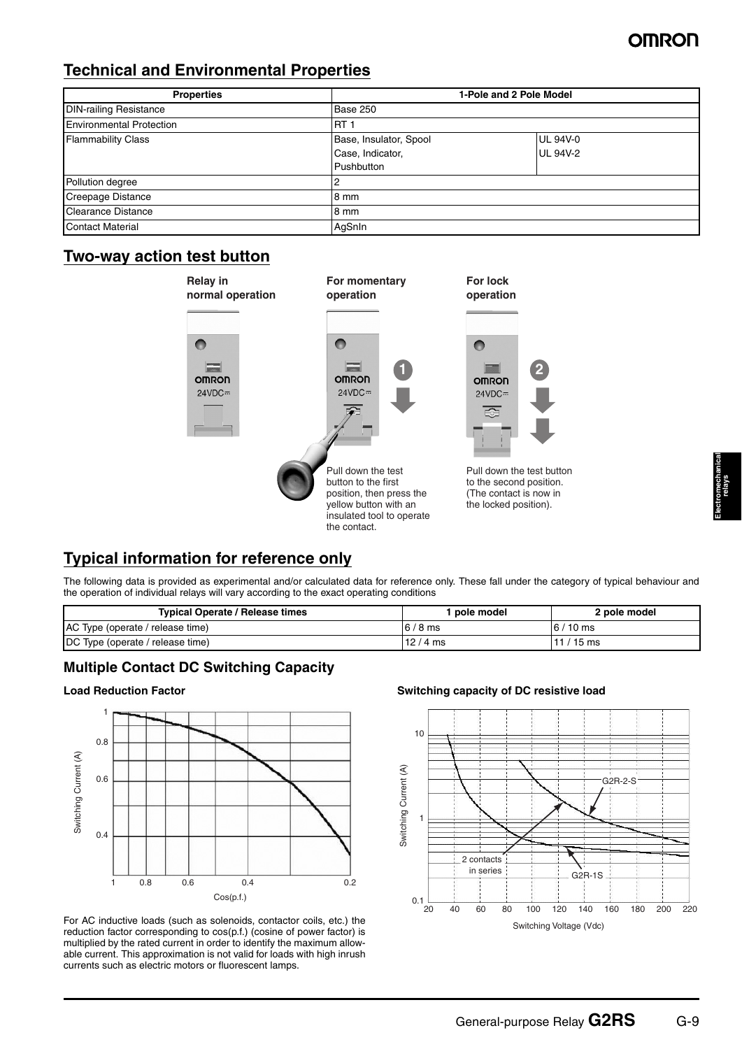### **Technical and Environmental Properties**

| <b>Properties</b>               | 1-Pole and 2 Pole Model |                 |
|---------------------------------|-------------------------|-----------------|
| <b>DIN-railing Resistance</b>   | Base 250                |                 |
| <b>Environmental Protection</b> | 'RT                     |                 |
| <b>Flammability Class</b>       | Base, Insulator, Spool  | <b>UL 94V-0</b> |
|                                 | Case, Indicator,        | <b>UL 94V-2</b> |
|                                 | Pushbutton              |                 |
| Pollution degree                | 2                       |                 |
| Creepage Distance               | 8 mm                    |                 |
| Clearance Distance              | 8 mm                    |                 |
| <b>Contact Material</b>         | AqSnIn                  |                 |

### **Two-way action test button**



### **Typical information for reference only**

The following data is provided as experimental and/or calculated data for reference only. These fall under the category of typical behaviour and the operation of individual relays will vary according to the exact operating conditions

| <b>Typical Operate / Release times</b> | pole model | 2 pole model |
|----------------------------------------|------------|--------------|
| AC Type (operate / release time)       | $16/8$ ms  | $16/10$ ms   |
| DC Type (operate / release time)       | $12/4$ ms  | $11/15$ ms   |

#### **Multiple Contact DC Switching Capacity**

#### **Load Reduction Factor**



For AC inductive loads (such as solenoids, contactor coils, etc.) the reduction factor corresponding to cos(p.f.) (cosine of power factor) is multiplied by the rated current in order to identify the maximum allowable current. This approximation is not valid for loads with high inrush currents such as electric motors or fluorescent lamps.

#### **Switching capacity of DC resistive load**

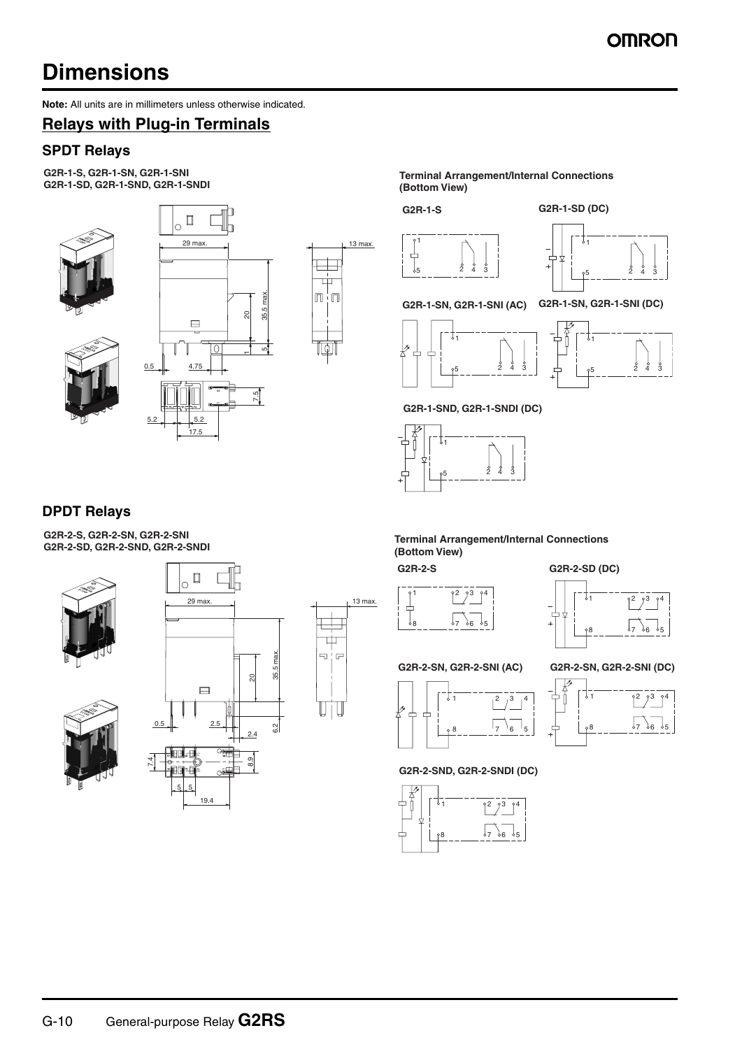# **Dimensions**

**Note:** All units are in millimeters unless otherwise indicated.

### **Relays with Plug-in Terminals**

#### **SPDT Relays**

**G2R-1-S, G2R-1-SN, G2R-1-SNI**





**G2R-1-SD, G2R-1-SND, G2R-1-SNDI Terminal Arrangement/Internal Connections (Bottom View)**

**G2R-1-S G2R-1-SD (DC)**





#### **G2R-1-SN, G2R-1-SNI (AC) G2R-1-SN, G2R-1-SNI (DC)**



**G2R-1-SND, G2R-1-SNDI (DC)**



### **DPDT Relays**

**G2R-2-S, G2R-2-SN, G2R-2-SNI**







19.4



**G2R-2-SD, G2R-2-SND, G2R-2-SNDI Terminal Arrangement/Internal Connections (Bottom View)**



**G2R-2-S G2R-2-SD (DC)**



#### **G2R-2-SN, G2R-2-SNI (AC) G2R-2-SN, G2R-2-SNI (DC)**





**G2R-2-SND, G2R-2-SNDI (DC)**







G-10 General-purpose Relay **G2RS**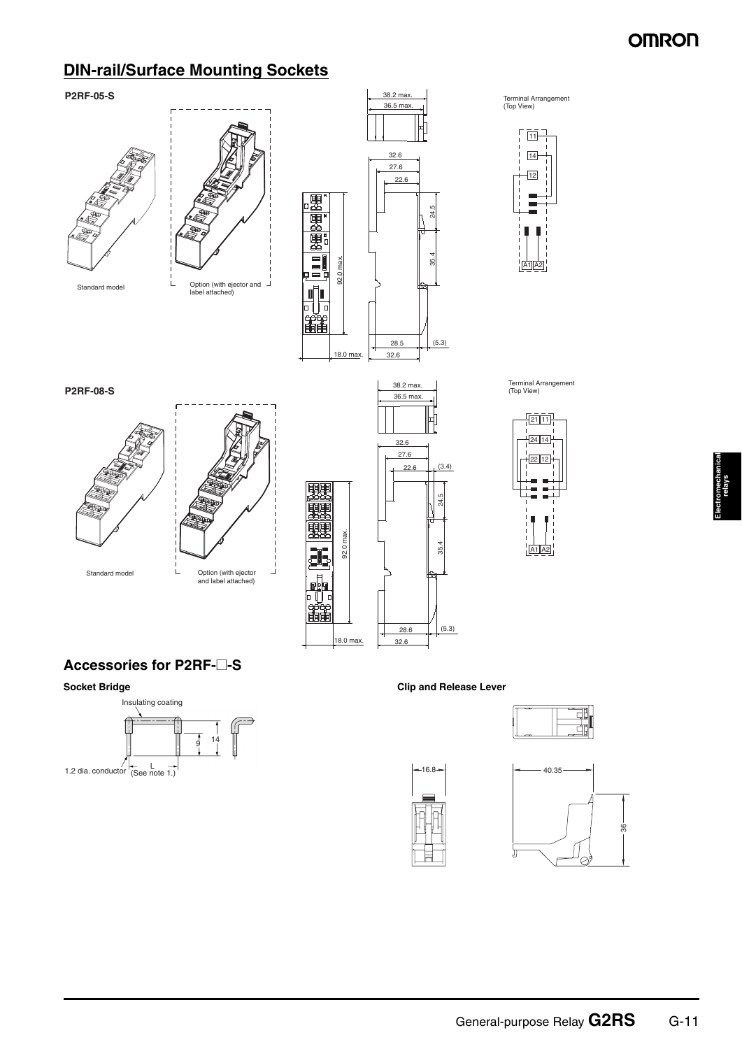### **DIN-rail/Surface Mounting Sockets**









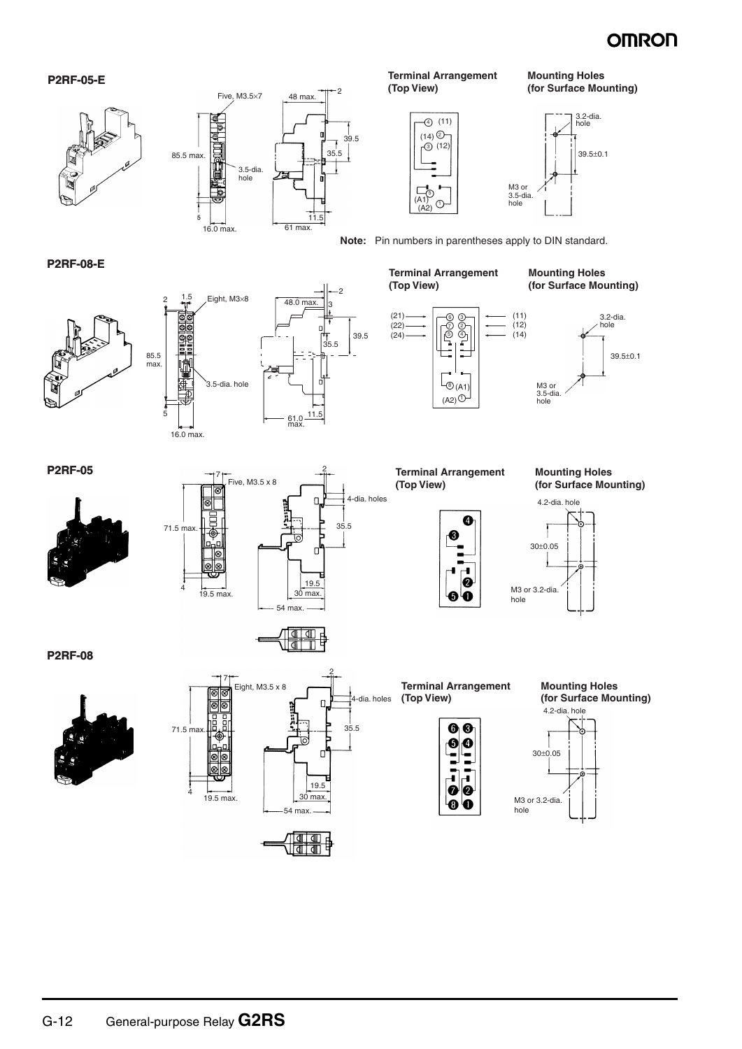#### **P2RF-05-E**





**Terminal Arrangement (Top View)**

(11) 4

(12) 3 (14) 2

 $(A1)^{A1}_{(A2)}$  (1) 5







**Mounting Holes (for Surface Mounting)**

**Note:** Pin numbers in parentheses apply to DIN standard.

#### **P2RF-08-E**







2 3



**P2RF-05**





 $\sqrt{2}$ ╡

**Terminal Arrangement (Top View)**

(A2) 1



**Mounting Holes (for Surface Mounting)**



**Mounting Holes (for Surface Mounting)**



**Terminal Arrangement** 

**(Top View)**



hole







.<br>A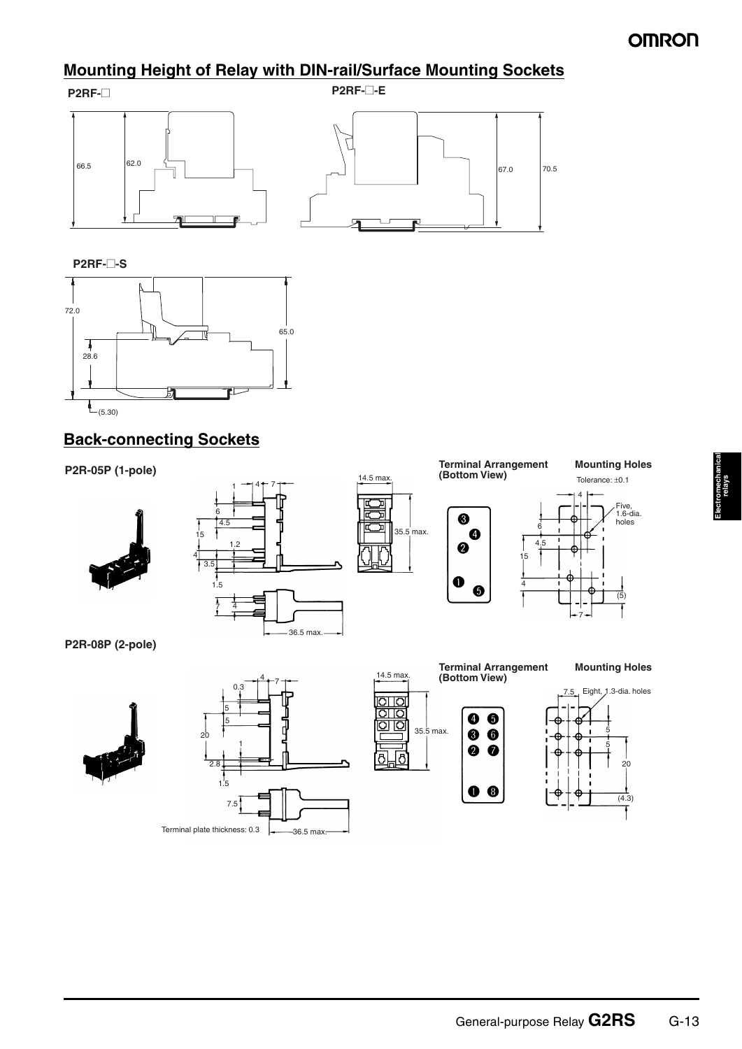### **Mounting Height of Relay with DIN-rail/Surface Mounting Sockets**





**P2RF-**@**-S**



### **Back-connecting Sockets**









**Mounting Holes**



7

**P2R-08P (2-pole)**





**Terminal Arrangement Mounting Holes** 14.5 max. **(Bottom View)** 7.5 Eight, 1.3-dia. holes बाव<br>गठ  $\bullet$ 6 010 35.5 max.  $\bullet$  $\bullet$ 5 5  $\ddot{\mathbf{Q}}$  $\bullet$ <u>්ලි ල</u>  $20$  $\bullet$  $(4.3)$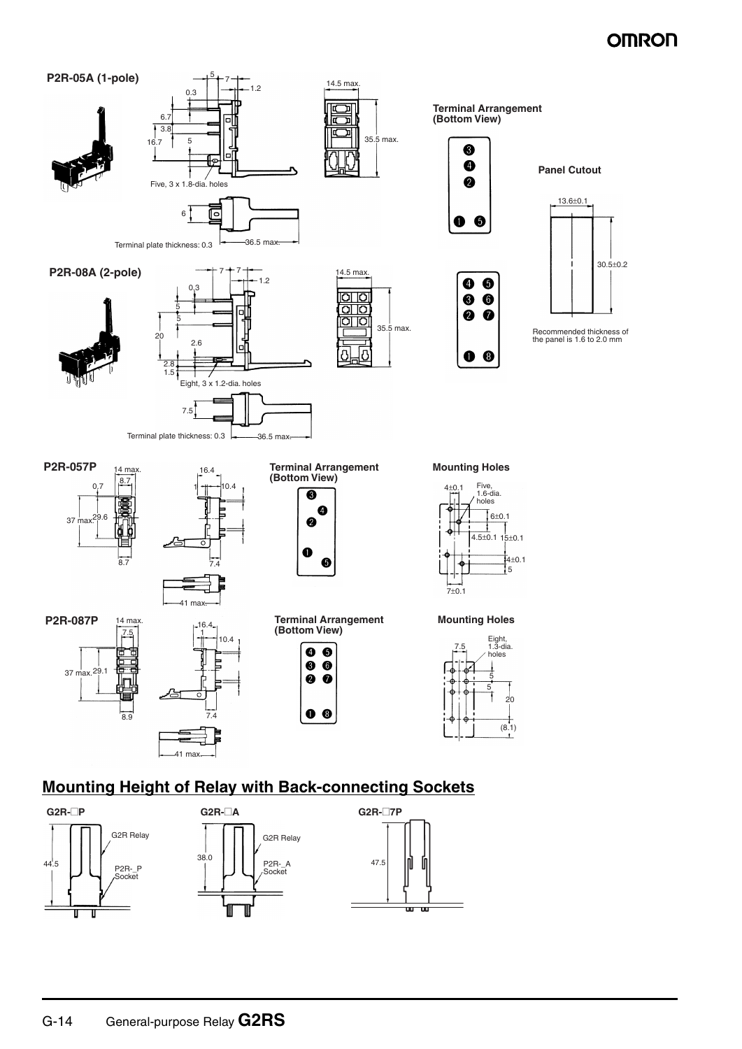

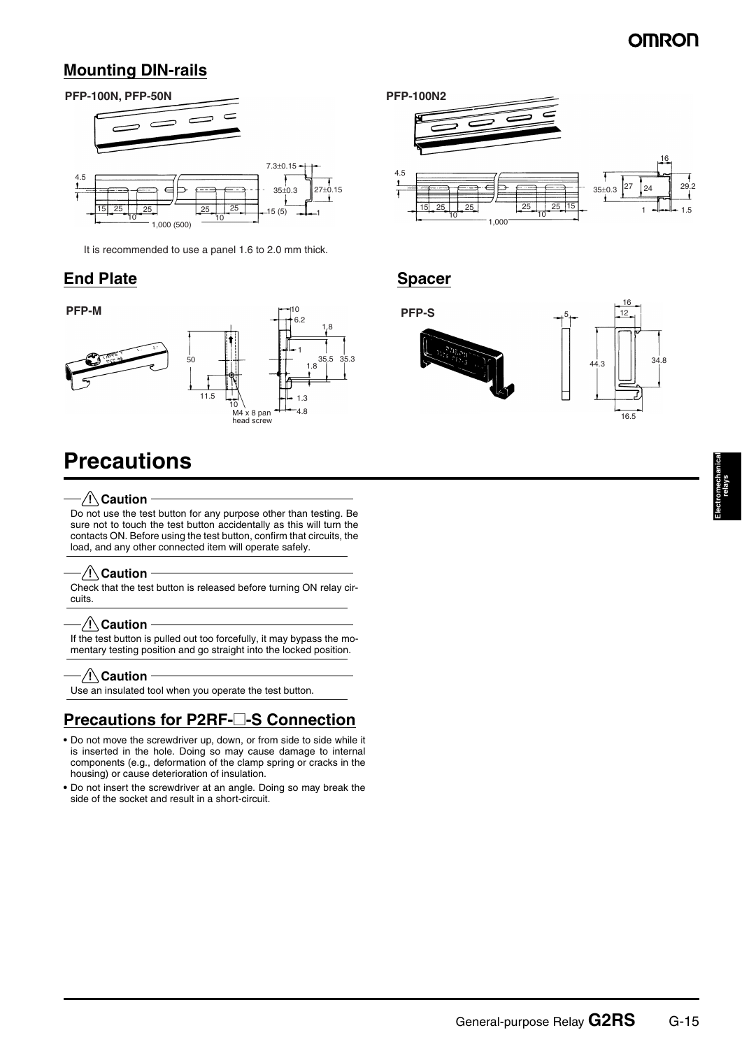### **Mounting DIN-rails**



It is recommended to use a panel 1.6 to 2.0 mm thick.

### **End Plate Spacer**



# **Precautions**

#### $-\bigwedge\mathsf{Caution}$

Do not use the test button for any purpose other than testing. Be sure not to touch the test button accidentally as this will turn the contacts ON. Before using the test button, confirm that circuits, the load, and any other connected item will operate safely.

#### $\sqrt{!}$  Caution

Check that the test button is released before turning ON relay circuits.

#### $\triangle$  Caution

If the test button is pulled out too forcefully, it may bypass the momentary testing position and go straight into the locked position.

#### $\sqrt{N}$  Caution

Use an insulated tool when you operate the test button.

### **Precautions for P2RF-**@**-S Connection**

- **•** Do not move the screwdriver up, down, or from side to side while it is inserted in the hole. Doing so may cause damage to internal components (e.g., deformation of the clamp spring or cracks in the housing) or cause deterioration of insulation.
- **•** Do not insert the screwdriver at an angle. Doing so may break the side of the socket and result in a short-circuit.